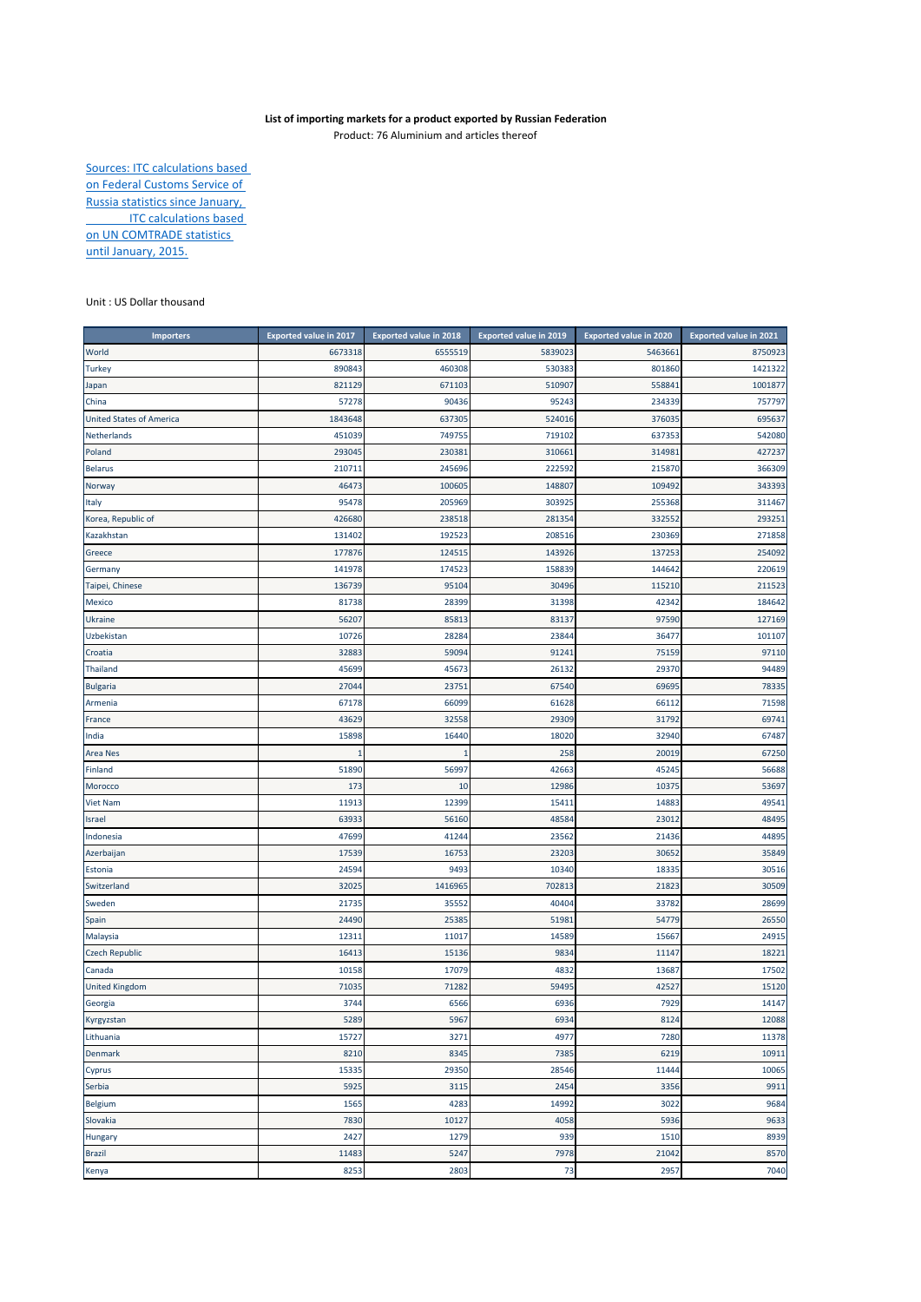## **List of importing markets for a product exported by Russian Federation**

Product: 76 Aluminium and articles thereof

Sources: ITC calculations based on Federal Customs Service of Russia statistics since January, **ITC calculations based** on UN COMTRADE statistics until January, 2015.

## Unit : US Dollar thousand

| <b>Importers</b>                | <b>Exported value in 2017</b> | <b>Exported value in 2018</b> | <b>Exported value in 2019</b> | <b>Exported value in 2020</b> | <b>Exported value in 2021</b> |
|---------------------------------|-------------------------------|-------------------------------|-------------------------------|-------------------------------|-------------------------------|
| World                           | 6673318                       | 6555519                       | 5839023                       | 5463661                       | 8750923                       |
| <b>Turkey</b>                   | 890843                        | 460308                        | 530383                        | 801860                        | 1421322                       |
| Japan                           | 821129                        | 671103                        | 510907                        | 558841                        | 1001877                       |
| China                           | 57278                         | 90436                         | 95243                         | 234339                        | 757797                        |
| <b>United States of America</b> | 1843648                       | 637305                        | 524016                        | 376035                        | 695637                        |
| Netherlands                     | 451039                        | 749755                        | 719102                        | 637353                        | 542080                        |
| Poland                          | 293045                        | 230381                        | 310661                        | 314981                        | 427237                        |
| <b>Belarus</b>                  | 210711                        | 245696                        | 222592                        | 215870                        | 366309                        |
| Norway                          | 46473                         | 100605                        | 148807                        | 109492                        | 343393                        |
| Italy                           | 95478                         | 205969                        | 303925                        | 255368                        | 311467                        |
| Korea, Republic of              | 426680                        | 238518                        | 281354                        | 332552                        | 293251                        |
| Kazakhstan                      | 131402                        | 192523                        | 208516                        | 230369                        | 271858                        |
| Greece                          | 177876                        | 124515                        | 143926                        | 137253                        | 254092                        |
| Germany                         | 141978                        | 174523                        | 158839                        | 144642                        | 220619                        |
| Taipei, Chinese                 | 136739                        | 95104                         | 30496                         | 115210                        | 211523                        |
| Mexico                          | 81738                         | 28399                         | 31398                         | 42342                         | 184642                        |
| Ukraine                         | 56207                         | 85813                         | 83137                         | 97590                         | 127169                        |
| Uzbekistan                      | 10726                         | 28284                         | 23844                         | 36477                         | 101107                        |
| Croatia                         | 32883                         | 59094                         | 91241                         | 75159                         | 97110                         |
| Thailand                        | 45699                         | 45673                         | 26132                         | 29370                         | 94489                         |
| <b>Bulgaria</b>                 | 27044                         | 23751                         | 67540                         | 69695                         | 78335                         |
| Armenia                         | 67178                         | 66099                         | 61628                         | 66112                         | 71598                         |
| France                          | 43629                         | 32558                         | 29309                         | 31792                         | 69741                         |
| India                           | 15898                         | 16440                         | 18020                         | 32940                         | 67487                         |
| Area Nes                        |                               | 1                             | 258                           | 20019                         | 67250                         |
| Finland                         | 51890                         | 56997                         | 42663                         | 45245                         | 56688                         |
| Morocco                         | 173                           | 10                            | 12986                         | 10375                         | 53697                         |
| <b>Viet Nam</b>                 | 11913                         | 12399                         | 15411                         | 1488                          | 49541                         |
| Israel                          | 63933                         | 56160                         | 48584                         | 23012                         | 48495                         |
| Indonesia                       | 47699                         | 41244                         | 23562                         | 21436                         | 44895                         |
| Azerbaijan                      | 17539                         | 16753                         | 23203                         | 30652                         | 35849                         |
| Estonia                         | 24594                         | 9493                          | 10340                         | 18335                         | 30516                         |
| Switzerland                     | 32025                         | 1416965                       | 702813                        | 2182                          | 30509                         |
| Sweden                          | 21735                         | 35552                         | 40404                         | 33782                         | 28699                         |
| Spain                           | 24490                         | 25385                         | 51981                         | 54779                         | 26550                         |
| Malaysia                        | 12311                         | 11017                         | 14589                         | 15667                         | 24915                         |
| <b>Czech Republic</b>           | 16413                         | 15136                         | 9834                          | 11147                         | 18221                         |
| Canada                          | 10158                         | 17079                         | 4832                          | 13687                         | 17502                         |
| <b>United Kingdom</b>           | 71035                         | 71282                         | 59495                         | 42527                         | 15120                         |
| Georgia                         | 3744                          | 6566                          | 6936                          | 7929                          | 14147                         |
| Kyrgyzstan                      | 5289                          | 5967                          | 6934                          | 8124                          | 12088                         |
| Lithuania                       | 15727                         | 3271                          | 4977                          | 7280                          | 11378                         |
| <b>Denmark</b>                  | 8210                          | 8345                          | 7385                          | 6219                          | 10911                         |
| Cyprus                          | 15335                         | 29350                         | 28546                         | 11444                         | 10065                         |
| Serbia                          | 5925                          | 3115                          | 2454                          | 3356                          | 9911                          |
| Belgium                         | 1565                          | 4283                          | 14992                         | 3022                          | 9684                          |
| Slovakia                        | 7830                          | 10127                         | 4058                          | 5936                          | 9633                          |
| Hungary                         | 2427                          | 1279                          | 939                           | 1510                          | 8939                          |
| <b>Brazil</b>                   | 11483                         | 5247                          | 7978                          | 21042                         | 8570                          |
| Kenya                           | 8253                          | 2803                          | 73                            | 2957                          | 7040                          |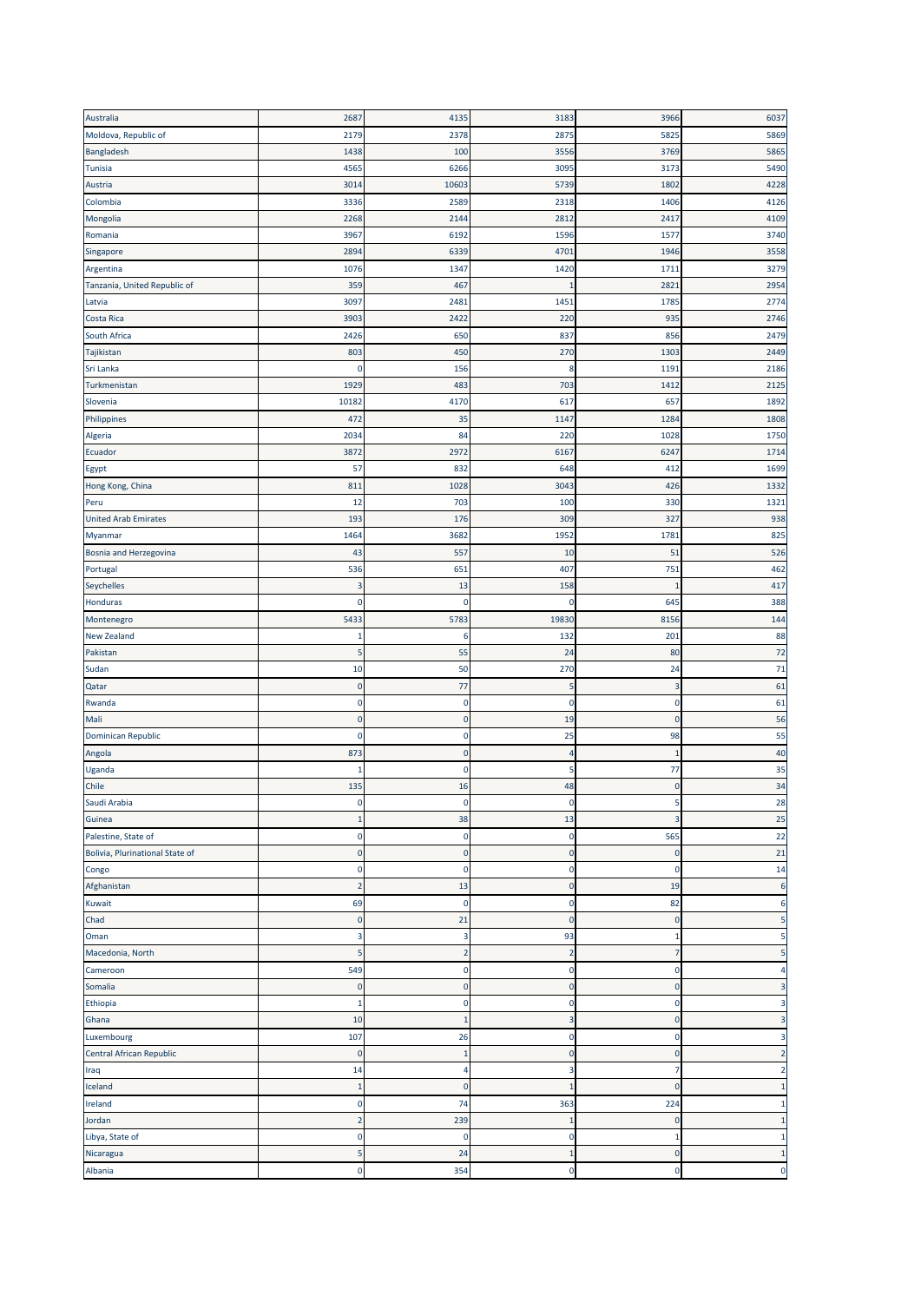| Australia                       | 2687           | 4135                    | 3183                     | 3966           | 6037           |
|---------------------------------|----------------|-------------------------|--------------------------|----------------|----------------|
| Moldova, Republic of            | 2179           | 2378                    | 2875                     | 5825           | 5869           |
| Bangladesh                      | 1438           | 100                     | 3556                     | 3769           | 5865           |
| Tunisia                         | 4565           | 6266                    | 3095                     | 3173           | 5490           |
| Austria                         | 3014           | 10603                   | 5739                     | 1802           | 4228           |
| Colombia                        | 3336           | 2589                    | 2318                     | 1406           | 4126           |
| Mongolia                        | 2268           | 2144                    | 2812                     | 2417           | 4109           |
| Romania                         | 3967           | 6192                    | 1596                     | 1577           | 3740           |
| Singapore                       | 2894           | 6339                    | 4701                     | 1946           | 3558           |
| Argentina                       | 1076           | 1347                    | 1420                     | 1711           | 3279           |
| Tanzania, United Republic of    | 359            | 467                     | -1                       | 2821           | 2954           |
| Latvia                          | 3097           | 2481                    | 1451                     | 1785           | 2774           |
| Costa Rica                      | 3903           | 2422                    | 220                      | 935            | 2746           |
| South Africa                    | 2426           | 650                     | 837                      | 856            | 2479           |
| Tajikistan                      | 803            | 450                     | 270                      | 1303           | 2449           |
| Sri Lanka                       | 0              | 156                     | 8                        | 1191           | 2186           |
| Turkmenistan                    | 1929           | 483                     | 703                      | 1412           | 2125           |
| Slovenia                        | 10182          | 4170                    | 617                      | 657            | 1892           |
| Philippines                     | 472            | 35                      | 1147                     | 1284           | 1808           |
| Algeria                         | 2034           | 84                      | 220                      | 1028           | 1750           |
| Ecuador                         | 3872           | 2972                    | 6167                     | 6247           | 1714           |
| Egypt                           | 57             | 832                     | 648                      | 412            | 1699           |
| Hong Kong, China                | 811            | 1028                    | 3043                     | 426            | 1332           |
| Peru                            | 12             | 703                     | 100                      | 330            | 1321           |
| <b>United Arab Emirates</b>     | 193            | 176                     | 309                      | 327            | 938            |
| Myanmar                         | 1464           | 3682                    | 1952                     | 178            | 825            |
| Bosnia and Herzegovina          | 43             | 557                     | 10                       | 51             | 526            |
| Portugal                        | 536            | 651                     | 407                      | 751            | 462            |
| Seychelles                      | 3              | 13                      | 158                      | п              | 417            |
| Honduras                        | 0              | $\mathbf 0$             | 0                        | 645            | 388            |
| Montenegro                      | 5433           | 5783                    | 19830                    | 8156           | 144            |
| <b>New Zealand</b>              | 1              | 6                       | 132                      | 201            | 88             |
|                                 |                |                         |                          |                |                |
| Pakistan                        | 5              | 55                      | 24                       | 80             | 72             |
| Sudan                           | 10             | 50                      | 270                      | 24             | 71             |
| Qatar                           | $\pmb{0}$      | 77                      | 5                        | 3              | 61             |
| Rwanda                          | $\pmb{0}$      | $\mathbf 0$             | $\circ$                  | $\mathbf 0$    | 61             |
| Mali                            | $\pmb{0}$      | $\mathbf 0$             | 19                       | $\mathbf{0}$   | 56             |
| Dominican Republic              | 0              | $\bf{0}$                | 25                       | 98             | 55             |
| Angola                          | 873            | $\pmb{0}$               | $\overline{\mathcal{L}}$ | п              | 40             |
| Uganda                          | 1              | $\mathbf 0$             | 5                        | 77             | 35             |
| Chile                           | 135            | 16                      | 48                       | $\mathbf 0$    | 34             |
| Saudi Arabia                    |                |                         |                          |                | 28             |
| Guinea                          | 1              | 38                      | 13                       | 3              | 25             |
| Palestine, State of             | 0              | $\pmb{0}$               | 0                        | 565            | 22             |
| Bolivia, Plurinational State of | 0              | $\mathbf 0$             | $\mathbf 0$              | $\mathbf 0$    | 21             |
| Congo                           | 0              | $\mathbf 0$             | $\mathbf 0$              | $\mathbf 0$    | 14             |
| Afghanistan                     | 2              | 13                      | $\mathbf 0$              | 19             | $\epsilon$     |
| Kuwait                          | 69             | $\bf{0}$                | 0                        | 82             | 6              |
| Chad                            | 0              | 21                      | $\mathbf 0$              | $\mathbf 0$    | 5              |
| Oman                            | 3              | 3                       | 93                       | 1              | 5              |
| Macedonia, North                | 5              | $\overline{\mathbf{c}}$ | $\overline{2}$           | $\overline{7}$ | 5              |
| Cameroon                        | 549            | $\mathbf 0$             | $\mathbf 0$              | $\mathbf 0$    | 4              |
| Somalia                         | $\pmb{0}$      | $\pmb{0}$               | $\mathbf 0$              | $\mathbf 0$    | 3              |
| Ethiopia                        | 1              | $\pmb{0}$               | 0                        | $\mathbf 0$    | 3              |
| Ghana                           | 10             | $\mathbf{1}$            | 3                        | $\mathbf 0$    | 3              |
| Luxembourg                      | 107            | 26                      | 0                        | $\mathbf 0$    | 3              |
| Central African Republic        | $\pmb{0}$      | $\mathbf{1}$            | $\mathbf 0$              | $\overline{0}$ | $\overline{2}$ |
| Iraq                            | 14             | 4                       | 3                        | 7              | $\overline{2}$ |
| Iceland                         | 1              | $\mathbf 0$             | 1                        | 0              | $\mathbf{1}$   |
| Ireland                         | $\pmb{0}$      | 74                      | 363                      | 224            | $\mathbf{1}$   |
| Jordan                          | $\overline{2}$ | 239                     | $\mathbf{1}$             | $\mathbf 0$    | $\mathbf{1}$   |
| Libya, State of                 | $\pmb{0}$      | $\mathbf 0$             | $\mathbf 0$              | -1             | $\mathbf 1$    |
| Nicaragua                       | 5              | 24                      | $\mathbf{1}$             | $\mathbf 0$    | $\mathbf{1}$   |